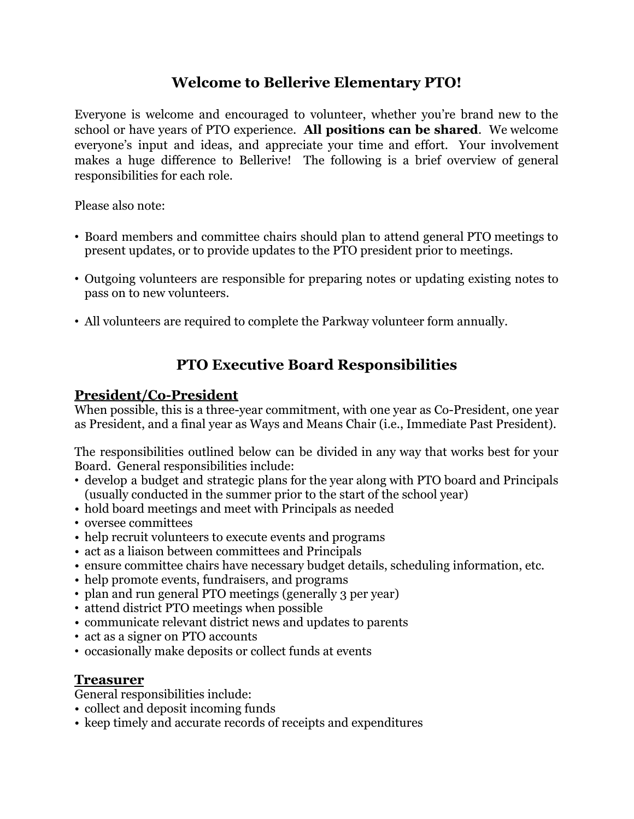## **Welcome to Bellerive Elementary PTO!**

Everyone is welcome and encouraged to volunteer, whether you're brand new to the school or have years of PTO experience. **All positions can be shared**. We welcome everyone's input and ideas, and appreciate your time and effort. Your involvement makes a huge difference to Bellerive! The following is a brief overview of general responsibilities for each role.

Please also note:

- Board members and committee chairs should plan to attend general PTO meetings to present updates, or to provide updates to the PTO president prior to meetings.
- Outgoing volunteers are responsible for preparing notes or updating existing notes to pass on to new volunteers.
- All volunteers are required to complete the Parkway volunteer form annually.

# **PTO Executive Board Responsibilities**

### **President/Co-President**

When possible, this is a three-year commitment, with one year as Co-President, one year as President, and a final year as Ways and Means Chair (i.e., Immediate Past President).

The responsibilities outlined below can be divided in any way that works best for your Board. General responsibilities include:

- develop a budget and strategic plans for the year along with PTO board and Principals (usually conducted in the summer prior to the start of the school year)
- hold board meetings and meet with Principals as needed
- oversee committees
- help recruit volunteers to execute events and programs
- act as a liaison between committees and Principals
- ensure committee chairs have necessary budget details, scheduling information, etc.
- help promote events, fundraisers, and programs
- plan and run general PTO meetings (generally 3 per year)
- attend district PTO meetings when possible
- communicate relevant district news and updates to parents
- act as a signer on PTO accounts
- occasionally make deposits or collect funds at events

## **Treasurer**

General responsibilities include:

- collect and deposit incoming funds
- keep timely and accurate records of receipts and expenditures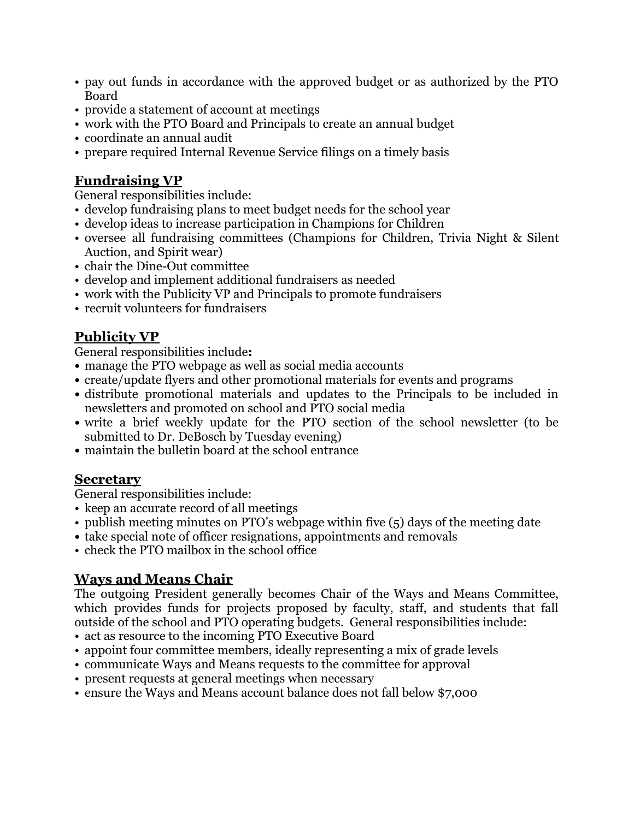- pay out funds in accordance with the approved budget or as authorized by the PTO Board
- provide a statement of account at meetings
- work with the PTO Board and Principals to create an annual budget
- coordinate an annual audit
- prepare required Internal Revenue Service filings on a timely basis

## **Fundraising VP**

General responsibilities include:

- develop fundraising plans to meet budget needs for the school year
- develop ideas to increase participation in Champions for Children
- oversee all fundraising committees (Champions for Children, Trivia Night & Silent Auction, and Spirit wear)
- chair the Dine-Out committee
- develop and implement additional fundraisers as needed
- work with the Publicity VP and Principals to promote fundraisers
- recruit volunteers for fundraisers

## **Publicity VP**

General responsibilities include**:**

- **•** manage the PTO webpage as well as social media accounts
- **•** create/update flyers and other promotional materials for events and programs
- **•** distribute promotional materials and updates to the Principals to be included in newsletters and promoted on school and PTO social media
- **•** write a brief weekly update for the PTO section of the school newsletter (to be submitted to Dr. DeBosch by Tuesday evening)
- **•** maintain the bulletin board at the school entrance

### **Secretary**

General responsibilities include:

- keep an accurate record of all meetings
- publish meeting minutes on PTO's webpage within five (5) days of the meeting date
- **•** take special note of officer resignations, appointments and removals
- check the PTO mailbox in the school office

## **Ways and Means Chair**

The outgoing President generally becomes Chair of the Ways and Means Committee, which provides funds for projects proposed by faculty, staff, and students that fall outside of the school and PTO operating budgets. General responsibilities include:

- act as resource to the incoming PTO Executive Board
- appoint four committee members, ideally representing a mix of grade levels
- communicate Ways and Means requests to the committee for approval
- present requests at general meetings when necessary
- ensure the Ways and Means account balance does not fall below \$7,000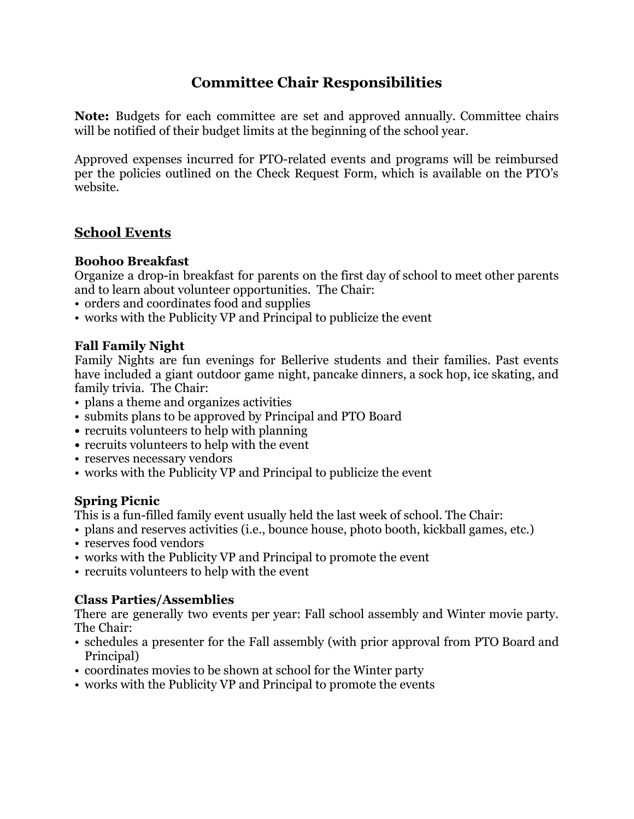# **Committee Chair Responsibilities**

**Note:** Budgets for each committee are set and approved annually. Committee chairs will be notified of their budget limits at the beginning of the school year.

Approved expenses incurred for PTO-related events and programs will be reimbursed per the policies outlined on the Check Request Form, which is available on the PTO's website.

### **School Events**

#### **Boohoo Breakfast**

Organize a drop-in breakfast for parents on the first day of school to meet other parents and to learn about volunteer opportunities. The Chair:

- orders and coordinates food and supplies
- works with the Publicity VP and Principal to publicize the event

#### **Fall Family Night**

Family Nights are fun evenings for Bellerive students and their families. Past events have included a giant outdoor game night, pancake dinners, a sock hop, ice skating, and family trivia. The Chair:

- plans a theme and organizes activities
- submits plans to be approved by Principal and PTO Board
- **•** recruits volunteers to help with planning
- **•** recruits volunteers to help with the event
- reserves necessary vendors
- works with the Publicity VP and Principal to publicize the event

#### **Spring Picnic**

This is a fun-filled family event usually held the last week of school. The Chair:

- plans and reserves activities (i.e., bounce house, photo booth, kickball games, etc.)
- reserves food vendors
- works with the Publicity VP and Principal to promote the event
- recruits volunteers to help with the event

#### **Class Parties/Assemblies**

There are generally two events per year: Fall school assembly and Winter movie party. The Chair:

- schedules a presenter for the Fall assembly (with prior approval from PTO Board and Principal)
- coordinates movies to be shown at school for the Winter party
- works with the Publicity VP and Principal to promote the events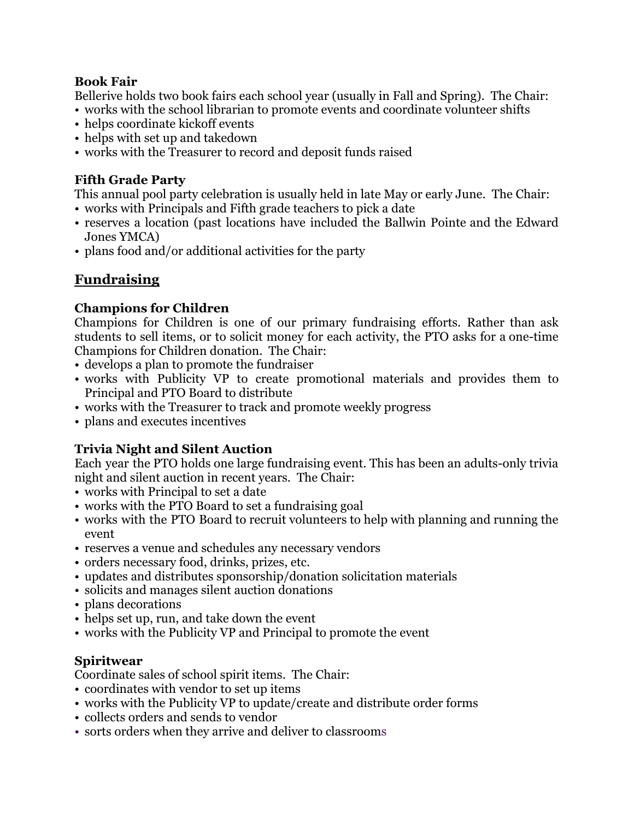#### **Book Fair**

Bellerive holds two book fairs each school year (usually in Fall and Spring). The Chair:

- works with the school librarian to promote events and coordinate volunteer shifts
- helps coordinate kickoff events
- helps with set up and takedown
- works with the Treasurer to record and deposit funds raised

#### **Fifth Grade Party**

This annual pool party celebration is usually held in late May or early June. The Chair:

- works with Principals and Fifth grade teachers to pick a date
- reserves a location (past locations have included the Ballwin Pointe and the Edward Jones YMCA)
- plans food and/or additional activities for the party

## **Fundraising**

#### **Champions for Children**

Champions for Children is one of our primary fundraising efforts. Rather than ask students to sell items, or to solicit money for each activity, the PTO asks for a one-time Champions for Children donation. The Chair:

- develops a plan to promote the fundraiser
- works with Publicity VP to create promotional materials and provides them to Principal and PTO Board to distribute
- works with the Treasurer to track and promote weekly progress
- plans and executes incentives

### **Trivia Night and Silent Auction**

Each year the PTO holds one large fundraising event. This has been an adults-only trivia night and silent auction in recent years. The Chair:

- works with Principal to set a date
- works with the PTO Board to set a fundraising goal
- works with the PTO Board to recruit volunteers to help with planning and running the event
- reserves a venue and schedules any necessary vendors
- orders necessary food, drinks, prizes, etc.
- updates and distributes sponsorship/donation solicitation materials
- solicits and manages silent auction donations
- plans decorations
- helps set up, run, and take down the event
- works with the Publicity VP and Principal to promote the event

#### **Spiritwear**

Coordinate sales of school spirit items. The Chair:

- coordinates with vendor to set up items
- works with the Publicity VP to update/create and distribute order forms
- collects orders and sends to vendor
- sorts orders when they arrive and deliver to classrooms